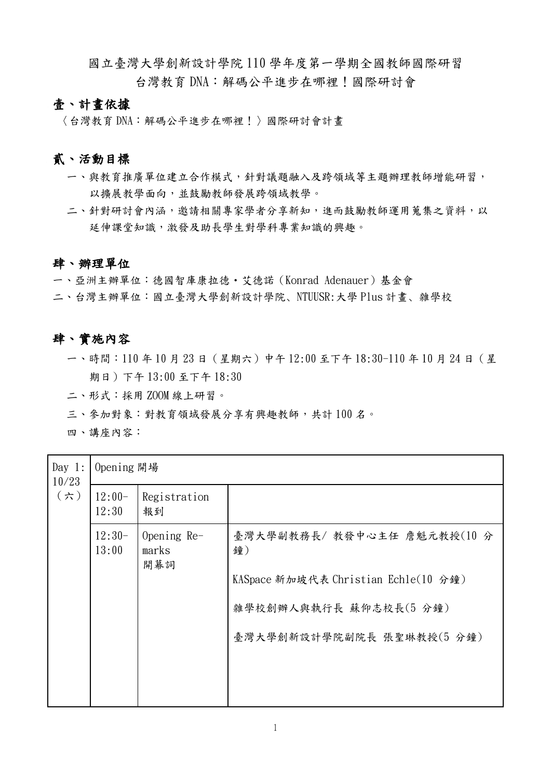國立臺灣大學創新設計學院 110 學年度第一學期全國教師國際研習 台灣教育 DNA:解碼公平進步在哪裡!國際研討會

## 壹、計畫依據

〈台灣教育 DNA:解碼公平進步在哪裡!〉國際研討會計畫

## 貳、活動目標

- 一、與教育推廣單位建立合作模式,針對議題融入及跨領域等主題辦理教師增能研習, 以擴展教學面向,並鼓勵教師發展跨領域教學。
- 二、針對研討會內涵,邀請相關專家學者分享新知,進而鼓勵教師運用蒐集之資料,以 延伸課堂知識,激發及助長學生對學科專業知識的興趣。

## 肆、辦理單位

一、亞洲主辦單位:德國智庫康拉德・艾德諾(Konrad Adenauer)基金會

二、台灣主辦單位:國立臺灣大學創新設計學院、NTUUSR:大學 Plus 計畫、雜學校

#### 肆、實施內容

- 一、時間:110 年 10 月 23 日(星期六)中午 12:00 至下午 18:30-110 年 10 月 24 日(星 期日)下午 13:00 至下午 18:30
- 二、形式:採用 ZOOM 線上研習。
- 三、參加對象:對教育領域發展分享有興趣教師,共計 100 名。

四、講座內容:

| Day $1:$<br>10/23<br>$(\n\pi)$ | Opening 開場        |                               |                                      |  |  |
|--------------------------------|-------------------|-------------------------------|--------------------------------------|--|--|
|                                | $12:00-$<br>12:30 | Registration<br>報到            |                                      |  |  |
|                                | $12:30-$<br>13:00 | Opening $Re-$<br>marks<br>開幕詞 | 臺灣大學副教務長/教發中心主任 詹魁元教授(10分<br>鐘)      |  |  |
|                                |                   |                               | KASpace 新加坡代表 Christian Echle(10 分鐘) |  |  |
|                                |                   |                               | 雜學校創辦人與執行長 蘇仰志校長(5分鐘)                |  |  |
|                                |                   |                               | 臺灣大學創新設計學院副院長 張聖琳教授(5分鐘)             |  |  |
|                                |                   |                               |                                      |  |  |
|                                |                   |                               |                                      |  |  |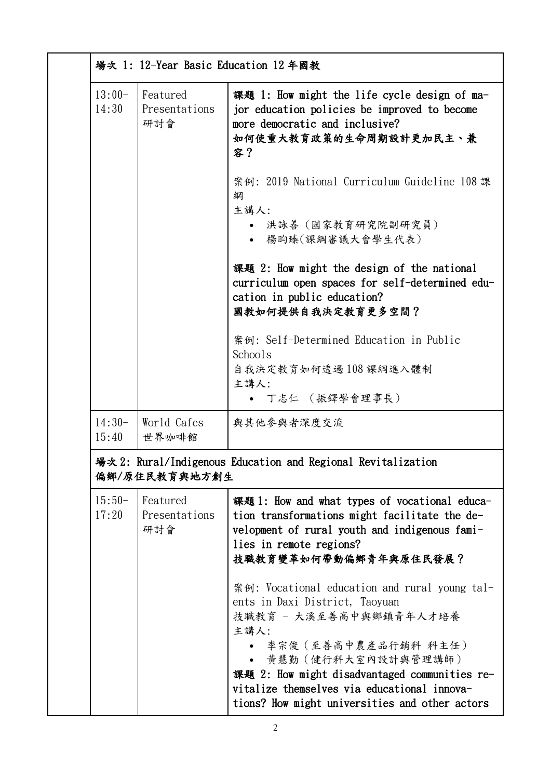|                   | 場次 1: 12-Year Basic Education 12 年國教                                          |                                                                                                                                                                                                                                                                                                                   |  |  |
|-------------------|-------------------------------------------------------------------------------|-------------------------------------------------------------------------------------------------------------------------------------------------------------------------------------------------------------------------------------------------------------------------------------------------------------------|--|--|
| $13:00-$<br>14:30 | Featured<br>Presentations<br>研討會                                              | 課題 1: How might the life cycle design of ma-<br>jor education policies be improved to become<br>more democratic and inclusive?<br>如何使重大教育政策的生命周期設計更加民主、兼<br>容?                                                                                                                                                    |  |  |
|                   |                                                                               | 案例: 2019 National Curriculum Guideline 108 課<br>綱<br>主講人:<br>洪詠善 (國家教育研究院副研究員)<br>楊昀臻(課綱審議大會學生代表)                                                                                                                                                                                                                 |  |  |
|                   |                                                                               | 課題 2: How might the design of the national<br>curriculum open spaces for self-determined edu-<br>cation in public education?<br>國教如何提供自我決定教育更多空間?                                                                                                                                                                 |  |  |
|                   |                                                                               | 案例: Self-Determined Education in Public<br>Schools<br>自我決定教育如何透過108課綱進入體制<br>主講人:                                                                                                                                                                                                                                 |  |  |
|                   |                                                                               | • 丁志仁 (振鐸學會理事長)                                                                                                                                                                                                                                                                                                   |  |  |
| $14:30-$<br>15:40 | World Cafes<br>世界咖啡館                                                          | 與其他參與者深度交流                                                                                                                                                                                                                                                                                                        |  |  |
|                   | 場次 2: Rural/Indigenous Education and Regional Revitalization<br>偏鄉/原住民教育與地方創生 |                                                                                                                                                                                                                                                                                                                   |  |  |
| $15:50-$<br>17:20 | Featured<br>Presentations<br>研討會                                              | 課題 1: How and what types of vocational educa-<br>tion transformations might facilitate the de-<br>velopment of rural youth and indigenous fami-<br>lies in remote regions?<br>技職教育變革如何帶動偏鄉青年與原住民發展?                                                                                                               |  |  |
|                   |                                                                               | 案例: Vocational education and rural young tal-<br>ents in Daxi District, Taoyuan<br>技職教育 - 大溪至善高中與鄉鎮青年人才培養<br>主講人:<br>李宗俊(至善高中農產品行銷科 科主任)<br>黃慧勤 (健行科大室內設計與管理講師)<br>課題 2: How might disadvantaged communities re-<br>vitalize themselves via educational innova-<br>tions? How might universities and other actors |  |  |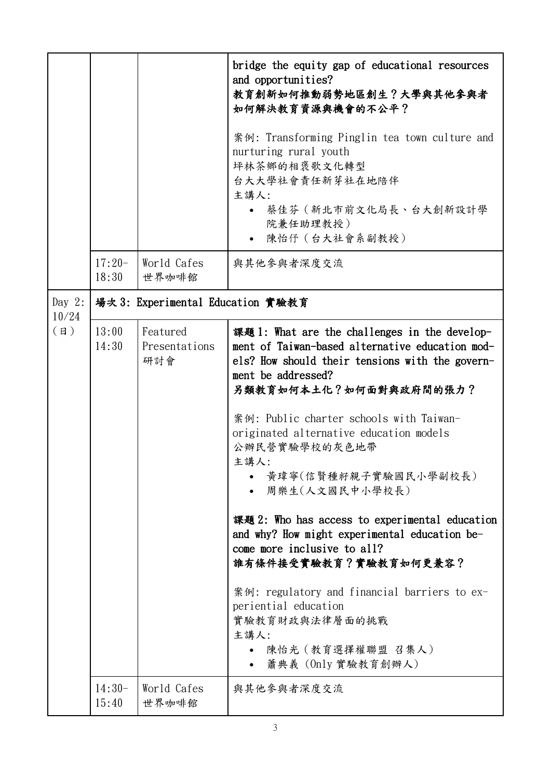|                   |                                   |                                  | bridge the equity gap of educational resources<br>and opportunities?<br>教育創新如何推動弱勢地區創生?大學與其他參與者<br>如何解決教育資源與機會的不公平?                                                                                                                                                                                                                                                                                                                                                                                                                                                                                                                                                    |  |  |
|-------------------|-----------------------------------|----------------------------------|------------------------------------------------------------------------------------------------------------------------------------------------------------------------------------------------------------------------------------------------------------------------------------------------------------------------------------------------------------------------------------------------------------------------------------------------------------------------------------------------------------------------------------------------------------------------------------------------------------------------------------------------------------------------|--|--|
|                   |                                   |                                  | 案例: Transforming Pinglin tea town culture and<br>nurturing rural youth<br>坪林茶鄉的相褒歌文化轉型<br>台大大學社會責任新芽社在地陪伴<br>主講人:                                                                                                                                                                                                                                                                                                                                                                                                                                                                                                                                                      |  |  |
|                   |                                   |                                  | 蔡佳芬(新北市前文化局長、台大創新設計學<br>院兼任助理教授)<br>陳怡仔 (台大社會系副教授)                                                                                                                                                                                                                                                                                                                                                                                                                                                                                                                                                                                                                     |  |  |
|                   | $17:20-$<br>18:30                 | World Cafes<br>世界咖啡館             | 與其他參與者深度交流                                                                                                                                                                                                                                                                                                                                                                                                                                                                                                                                                                                                                                                             |  |  |
| Day $2$ :         | 場次 3: Experimental Education 實驗教育 |                                  |                                                                                                                                                                                                                                                                                                                                                                                                                                                                                                                                                                                                                                                                        |  |  |
| 10/24<br>$(\Box)$ | 13:00<br>14:30                    | Featured<br>Presentations<br>研討會 | 課題 1: What are the challenges in the develop-<br>ment of Taiwan-based alternative education mod-<br>els? How should their tensions with the govern-<br>ment be addressed?<br>另類教育如何本土化?如何面對與政府間的張力?<br>案例: Public charter schools with Taiwan-<br>originated alternative education models<br>公辦民營實驗學校的灰色地帶<br>主講人:<br>• 黃瑋寧(信賢種籽親子實驗國民小學副校長)<br>周樂生(人文國民中小學校長)<br>課題 2: Who has access to experimental education<br>and why? How might experimental education be-<br>come more inclusive to all?<br>誰有條件接受實驗教育?實驗教育如何更兼容?<br>案例: regulatory and financial barriers to ex-<br>periential education<br>實驗教育財政與法律層面的挑戰<br>主講人:<br>陳怡光 (教育選擇權聯盟 召集人)<br>蕭典義 (Only 實驗教育創辦人) |  |  |
|                   | $14:30-$<br>15:40                 | World Cafes<br>世界咖啡館             | 與其他參與者深度交流                                                                                                                                                                                                                                                                                                                                                                                                                                                                                                                                                                                                                                                             |  |  |